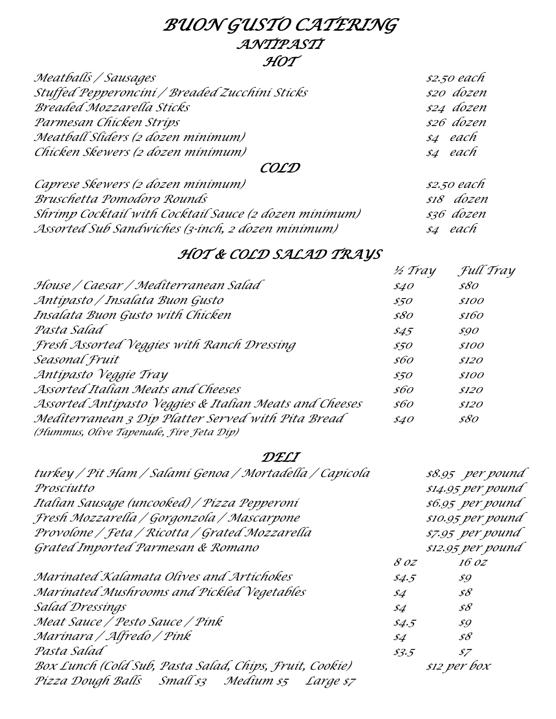### *BUON GUSTO CATERING ANTIPASTI HOT*

| Meatballs / Sausages                           | \$2.50 each |
|------------------------------------------------|-------------|
| Stuffed Pepperoncini / Breaded Zucchini Sticks | \$20 dozen  |
| <b>Breaded Mozzarella Sticks</b>               | \$24 dozen  |
| Parmesan Chicken Strips                        | \$26 dozen  |
| Meatball Sliders (2 dozen minimum)             | s4 each     |
| Chicken Skewers (2 dozen minimum)              | s4 each     |

#### *COLD*

| Caprese Skewers (2 dozen minimum)                     | \$2.50 each |
|-------------------------------------------------------|-------------|
| Bruschetta Pomodoro Rounds                            | si8 dozen   |
| Shrimp Cocktail with Cocktail Sauce (2 dozen minimum) | \$36 dozen  |
| Assorted Sub Sandwiches (3-inch, 2 dozen minimum)     | s4 each     |

## *HOT & COLD SALAD TRAYS*

|                                                                                               | 1/2 Tray       | Full Tray    |
|-----------------------------------------------------------------------------------------------|----------------|--------------|
| House / Caesar / Mediterranean Salad                                                          | \$40           | \$80         |
| Antípasto / Insalata Buon Gusto                                                               | \$50           | <i>\$100</i> |
| Insalata Buon Gusto with Chicken                                                              | \$80           | \$160        |
| Pasta Salad                                                                                   | $\frac{$45}{}$ | \$90         |
| Fresh Assorted Veggies with Ranch Dressing                                                    | \$50           | <i>\$100</i> |
| Seasonal Fruit                                                                                | \$60           | \$120        |
| Antípasto Veggíe Tray                                                                         | \$50           | \$100        |
| Assorted Italian Meats and Cheeses                                                            | \$60           | \$120        |
| Assorted Antipasto Veggies & Italian Meats and Cheeses                                        | \$60           | \$120        |
| Mediterranean 3 Dip Platter Served with Pita Bread<br>(Hummus, Olive Tapenade, Fire Feta Dip) | \$40           | \$80         |

#### *DELI*

| turkey / Pít Ham / Salamí Genoa / Mortadella / Capícola |                                      | \$8.95 per pound          |
|---------------------------------------------------------|--------------------------------------|---------------------------|
| Proscíutto                                              |                                      | \$14.95 per pound         |
| Italian Sausage (uncooked) / Pízza Pepperoní            |                                      | \$6.95 per pound          |
| Fresh Mozzarella / Gorgonzola / Mascarpone              |                                      | \$10.95 per pound         |
| Provolone / Feta / Rícotta / Grated Mozzarella          | \$7.95 per pound                     |                           |
| Grated Imported Parmesan & Romano                       |                                      | \$12.95 per pound         |
|                                                         | 8 oz                                 | 16 oz                     |
| Marínated Kalamata Olives and Artíchokes                | \$4.5\$                              | \$9                       |
| Marínated Mushrooms and Píckled Vegetables              | \$4                                  | $\mathscr{S}\mathscr{S}$  |
| Salad Dressings                                         | \$4                                  | $\mathscr{S}\mathscr{S}$  |
| Meat Sauce / Pesto Sauce / Pínk                         | \$4.5                                | $\mathcal{S} \mathcal{G}$ |
| Marínara / Alfredo / Pínk                               | $\mathcal{\mathcal{S}}\!\mathcal{A}$ | $\mathscr{S}\mathscr{S}$  |
| Pasta Salad                                             | \$3.5\$                              | $\mathcal{I}$             |
| Box Lunch (Cold Sub, Pasta Salad, Chips, Fruit, Cookie) | \$12 per box                         |                           |
| Pízza Dough Balls Small sz Medium sz Large sz           |                                      |                           |